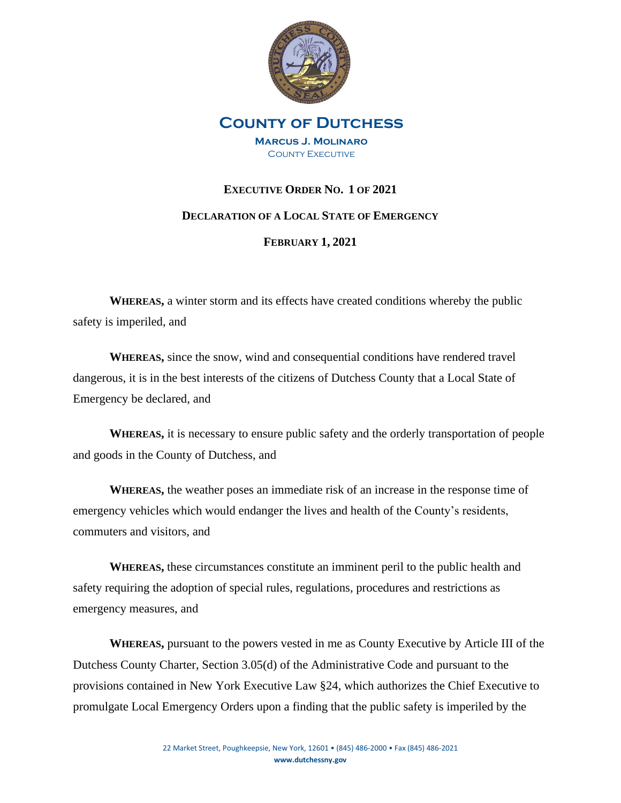

# **County of Dutchess Marcus J. Molinaro COUNTY EXECUTIVE**

# **EXECUTIVE ORDER NO. 1 OF 2021**

## **DECLARATION OF A LOCAL STATE OF EMERGENCY**

## **FEBRUARY 1, 2021**

**WHEREAS,** a winter storm and its effects have created conditions whereby the public safety is imperiled, and

**WHEREAS,** since the snow, wind and consequential conditions have rendered travel dangerous, it is in the best interests of the citizens of Dutchess County that a Local State of Emergency be declared, and

**WHEREAS,** it is necessary to ensure public safety and the orderly transportation of people and goods in the County of Dutchess, and

**WHEREAS,** the weather poses an immediate risk of an increase in the response time of emergency vehicles which would endanger the lives and health of the County's residents, commuters and visitors, and

**WHEREAS,** these circumstances constitute an imminent peril to the public health and safety requiring the adoption of special rules, regulations, procedures and restrictions as emergency measures, and

**WHEREAS,** pursuant to the powers vested in me as County Executive by Article III of the Dutchess County Charter, Section 3.05(d) of the Administrative Code and pursuant to the provisions contained in New York Executive Law §24, which authorizes the Chief Executive to promulgate Local Emergency Orders upon a finding that the public safety is imperiled by the